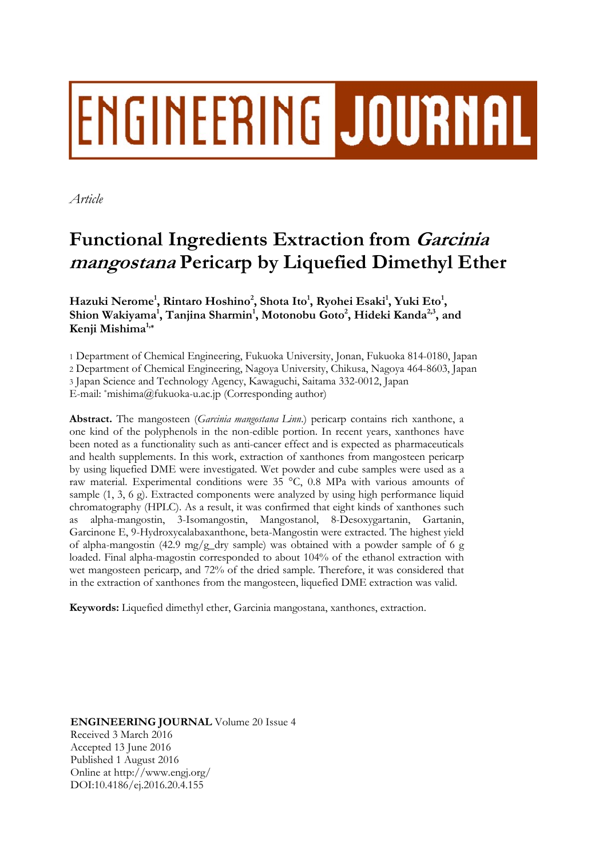# **ENGINEERING JOURNAL**

*Article* 

# **Functional Ingredients Extraction from Garcinia mangostana Pericarp by Liquefied Dimethyl Ether**

 $\bm{\mathrm{H}}$ azuki Nerome<sup>1</sup>, Rintaro Hoshino<sup>2</sup>, Shota Ito<sup>1</sup>, Ryohei Esaki<sup>1</sup>, Yuki Eto<sup>1</sup>, Shion Wakiyama<sup>1</sup>, Tanjina Sharmin<sup>1</sup>, Motonobu Goto<sup>2</sup>, Hideki Kanda<sup>2,3</sup>, and **Kenji Mishima1,\***

1 Department of Chemical Engineering, Fukuoka University, Jonan, Fukuoka 814-0180, Japan 2 Department of Chemical Engineering, Nagoya University, Chikusa, Nagoya 464-8603, Japan 3 Japan Science and Technology Agency, Kawaguchi, Saitama 332-0012, Japan E-mail: \*mishima@fukuoka-u.ac.jp (Corresponding author)

**Abstract.** The mangosteen (*Garcinia mangostana Linn*.) pericarp contains rich xanthone, a one kind of the polyphenols in the non-edible portion. In recent years, xanthones have been noted as a functionality such as anti-cancer effect and is expected as pharmaceuticals and health supplements. In this work, extraction of xanthones from mangosteen pericarp by using liquefied DME were investigated. Wet powder and cube samples were used as a raw material. Experimental conditions were 35 °C, 0.8 MPa with various amounts of sample (1, 3, 6 g). Extracted components were analyzed by using high performance liquid chromatography (HPLC). As a result, it was confirmed that eight kinds of xanthones such alpha-mangostin, 3-Isomangostin, Mangostanol, 8-Desoxygartanin, Gartanin, Garcinone E, 9-Hydroxycalabaxanthone, beta-Mangostin were extracted. The highest yield of alpha-mangostin (42.9 mg/g\_dry sample) was obtained with a powder sample of 6 g loaded. Final alpha-magostin corresponded to about 104% of the ethanol extraction with wet mangosteen pericarp, and 72% of the dried sample. Therefore, it was considered that in the extraction of xanthones from the mangosteen, liquefied DME extraction was valid.

**Keywords:** Liquefied dimethyl ether, Garcinia mangostana, xanthones, extraction.

**ENGINEERING JOURNAL** Volume 20 Issue 4 Received 3 March 2016 Accepted 13 June 2016 Published 1 August 2016 Online at http://www.engj.org/ DOI:10.4186/ej.2016.20.4.155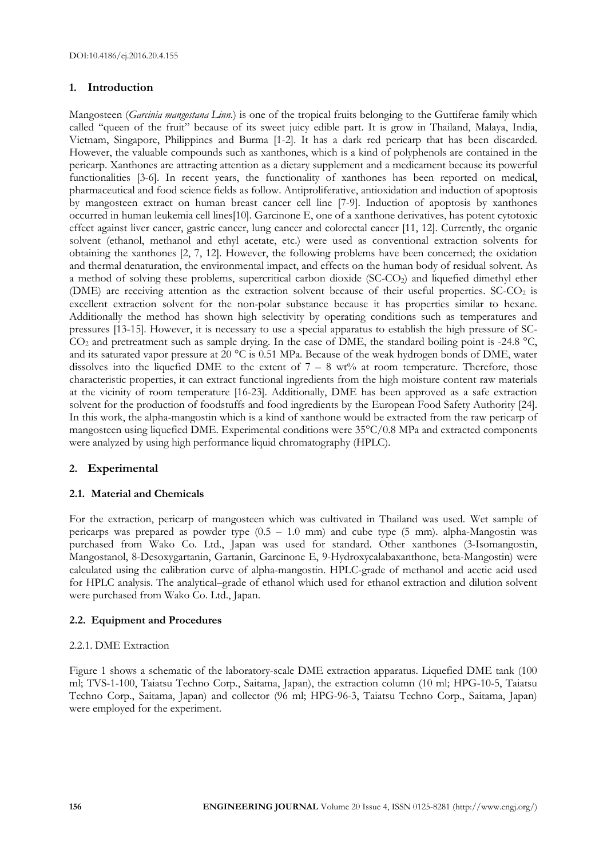# **1. Introduction**

Mangosteen (*Garcinia mangostana Linn*.) is one of the tropical fruits belonging to the Guttiferae family which called "queen of the fruit" because of its sweet juicy edible part. It is grow in Thailand, Malaya, India, Vietnam, Singapore, Philippines and Burma [1-2]. It has a dark red pericarp that has been discarded. However, the valuable compounds such as xanthones, which is a kind of polyphenols are contained in the pericarp. Xanthones are attracting attention as a dietary supplement and a medicament because its powerful functionalities [3-6]. In recent years, the functionality of xanthones has been reported on medical, pharmaceutical and food science fields as follow. Antiproliferative, antioxidation and induction of apoptosis by mangosteen extract on human breast cancer cell line [7-9]. Induction of apoptosis by xanthones occurred in human leukemia cell lines[10]. Garcinone E, one of a xanthone derivatives, has potent cytotoxic effect against liver cancer, gastric cancer, lung cancer and colorectal cancer [11, 12]. Currently, the organic solvent (ethanol, methanol and ethyl acetate, etc.) were used as conventional extraction solvents for obtaining the xanthones [2, 7, 12]. However, the following problems have been concerned; the oxidation and thermal denaturation, the environmental impact, and effects on the human body of residual solvent. As a method of solving these problems, supercritical carbon dioxide (SC-CO<sub>2</sub>) and liquefied dimethyl ether (DME) are receiving attention as the extraction solvent because of their useful properties.  $SC-CO<sub>2</sub>$  is excellent extraction solvent for the non-polar substance because it has properties similar to hexane. Additionally the method has shown high selectivity by operating conditions such as temperatures and pressures [13-15]. However, it is necessary to use a special apparatus to establish the high pressure of SC- $CO<sub>2</sub>$  and pretreatment such as sample drying. In the case of DME, the standard boiling point is -24.8 °C, and its saturated vapor pressure at 20 °C is 0.51 MPa. Because of the weak hydrogen bonds of DME, water dissolves into the liquefied DME to the extent of  $7 - 8$  wt% at room temperature. Therefore, those characteristic properties, it can extract functional ingredients from the high moisture content raw materials at the vicinity of room temperature [16-23]. Additionally, DME has been approved as a safe extraction solvent for the production of foodstuffs and food ingredients by the European Food Safety Authority [24]. In this work, the alpha-mangostin which is a kind of xanthone would be extracted from the raw pericarp of mangosteen using liquefied DME. Experimental conditions were 35°C/0.8 MPa and extracted components were analyzed by using high performance liquid chromatography (HPLC).

# **2. Experimental**

# **2.1. Material and Chemicals**

For the extraction, pericarp of mangosteen which was cultivated in Thailand was used. Wet sample of pericarps was prepared as powder type (0.5 – 1.0 mm) and cube type (5 mm). alpha-Mangostin was purchased from Wako Co. Ltd., Japan was used for standard. Other xanthones (3-Isomangostin, Mangostanol, 8-Desoxygartanin, Gartanin, Garcinone E, 9-Hydroxycalabaxanthone, beta-Mangostin) were calculated using the calibration curve of alpha-mangostin. HPLC-grade of methanol and acetic acid used for HPLC analysis. The analytical–grade of ethanol which used for ethanol extraction and dilution solvent were purchased from Wako Co. Ltd., Japan.

# **2.2. Equipment and Procedures**

# 2.2.1. DME Extraction

Figure 1 shows a schematic of the laboratory-scale DME extraction apparatus. Liquefied DME tank (100 ml; TVS-1-100, Taiatsu Techno Corp., Saitama, Japan), the extraction column (10 ml; HPG-10-5, Taiatsu Techno Corp., Saitama, Japan) and collector (96 ml; HPG-96-3, Taiatsu Techno Corp., Saitama, Japan) were employed for the experiment.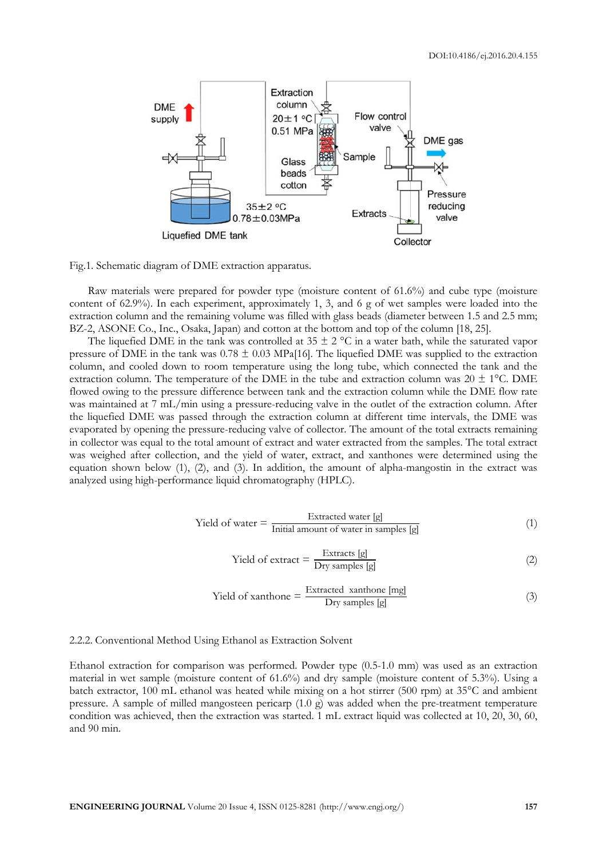

Fig.1. Schematic diagram of DME extraction apparatus.

Raw materials were prepared for powder type (moisture content of 61.6%) and cube type (moisture content of 62.9%). In each experiment, approximately 1, 3, and 6 g of wet samples were loaded into the extraction column and the remaining volume was filled with glass beads (diameter between 1.5 and 2.5 mm; BZ-2, ASONE Co., Inc., Osaka, Japan) and cotton at the bottom and top of the column [18, 25].

The liquefied DME in the tank was controlled at  $35 \pm 2$  °C in a water bath, while the saturated vapor pressure of DME in the tank was  $0.78 \pm 0.03$  MPa[16]. The liquefied DME was supplied to the extraction column, and cooled down to room temperature using the long tube, which connected the tank and the extraction column. The temperature of the DME in the tube and extraction column was  $20 \pm 1^{\circ}$ C. DME flowed owing to the pressure difference between tank and the extraction column while the DME flow rate was maintained at 7 mL/min using a pressure-reducing valve in the outlet of the extraction column. After the liquefied DME was passed through the extraction column at different time intervals, the DME was evaporated by opening the pressure-reducing valve of collector. The amount of the total extracts remaining in collector was equal to the total amount of extract and water extracted from the samples. The total extract was weighed after collection, and the yield of water, extract, and xanthones were determined using the equation shown below (1), (2), and (3). In addition, the amount of alpha-mangostin in the extract was analyzed using high-performance liquid chromatography (HPLC).

$$
Yield of water = \frac{Extracted water [g]}{Initial amount of water in samples [g]}
$$
 (1)

$$
Yield of extract = \frac{Extracts [g]}{Dry samples [g]}
$$
 (2)

Yield of xanthone = 
$$
\frac{\text{Extracted xanthone [mg]}}{\text{Dry samples [g]}}
$$
 (3)

#### 2.2.2. Conventional Method Using Ethanol as Extraction Solvent

Ethanol extraction for comparison was performed. Powder type (0.5-1.0 mm) was used as an extraction material in wet sample (moisture content of 61.6%) and dry sample (moisture content of 5.3%). Using a batch extractor, 100 mL ethanol was heated while mixing on a hot stirrer (500 rpm) at 35°C and ambient pressure. A sample of milled mangosteen pericarp (1.0 g) was added when the pre-treatment temperature condition was achieved, then the extraction was started. 1 mL extract liquid was collected at 10, 20, 30, 60, and 90 min.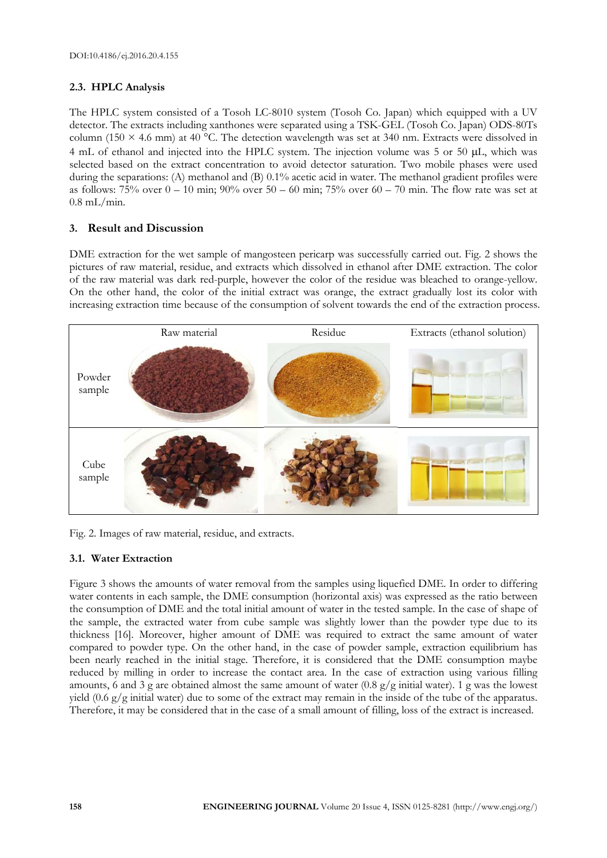# **2.3. HPLC Analysis**

The HPLC system consisted of a Tosoh LC-8010 system (Tosoh Co. Japan) which equipped with a UV detector. The extracts including xanthones were separated using a TSK-GEL (Tosoh Co. Japan) ODS-80Ts column (150  $\times$  4.6 mm) at 40 °C. The detection wavelength was set at 340 nm. Extracts were dissolved in 4 mL of ethanol and injected into the HPLC system. The injection volume was 5 or 50 µL, which was selected based on the extract concentration to avoid detector saturation. Two mobile phases were used during the separations: (A) methanol and (B) 0.1% acetic acid in water. The methanol gradient profiles were as follows:  $75\%$  over  $0 - 10$  min;  $90\%$  over  $50 - 60$  min;  $75\%$  over  $60 - 70$  min. The flow rate was set at  $0.8$  mL/min.

# **3. Result and Discussion**

DME extraction for the wet sample of mangosteen pericarp was successfully carried out. Fig. 2 shows the pictures of raw material, residue, and extracts which dissolved in ethanol after DME extraction. The color of the raw material was dark red-purple, however the color of the residue was bleached to orange-yellow. On the other hand, the color of the initial extract was orange, the extract gradually lost its color with increasing extraction time because of the consumption of solvent towards the end of the extraction process.



Fig. 2. Images of raw material, residue, and extracts.

# **3.1. Water Extraction**

Figure 3 shows the amounts of water removal from the samples using liquefied DME. In order to differing water contents in each sample, the DME consumption (horizontal axis) was expressed as the ratio between the consumption of DME and the total initial amount of water in the tested sample. In the case of shape of the sample, the extracted water from cube sample was slightly lower than the powder type due to its thickness [16]. Moreover, higher amount of DME was required to extract the same amount of water compared to powder type. On the other hand, in the case of powder sample, extraction equilibrium has been nearly reached in the initial stage. Therefore, it is considered that the DME consumption maybe reduced by milling in order to increase the contact area. In the case of extraction using various filling amounts, 6 and 3 g are obtained almost the same amount of water (0.8 g/g initial water). 1 g was the lowest yield (0.6 g/g initial water) due to some of the extract may remain in the inside of the tube of the apparatus. Therefore, it may be considered that in the case of a small amount of filling, loss of the extract is increased.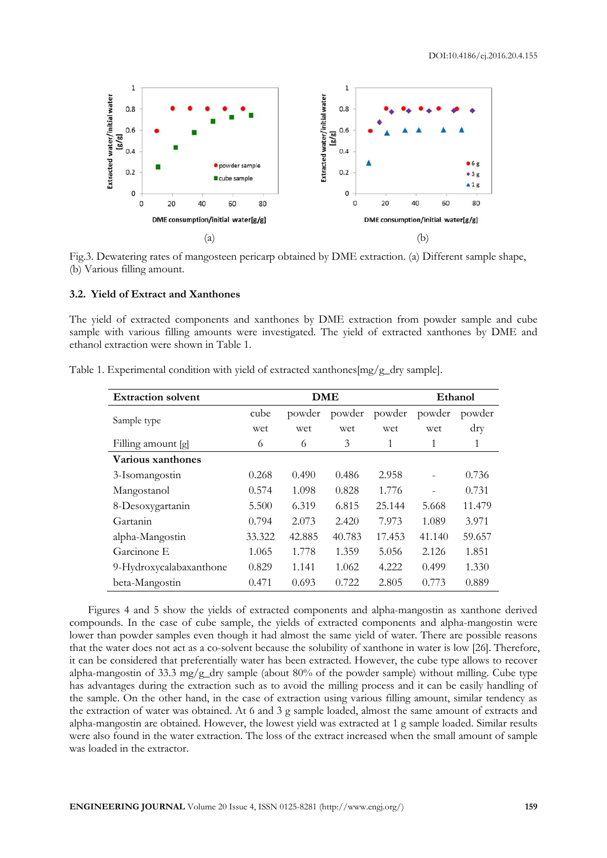

Fig.3. Dewatering rates of mangosteen pericarp obtained by DME extraction. (a) Different sample shape, (b) Various filling amount.

## **3.2. Yield of Extract and Xanthones**

The yield of extracted components and xanthones by DME extraction from powder sample and cube sample with various filling amounts were investigated. The yield of extracted xanthones by DME and ethanol extraction were shown in Table 1.

| <b>Extraction solvent</b> | <b>DME</b> |        |        |        | Ethanol |            |
|---------------------------|------------|--------|--------|--------|---------|------------|
| Sample type               | cube       | powder | powder | powder | powder  | powder     |
|                           | wet        | wet    | wet    | wet    | wet     | $\rm{dry}$ |
| Filling amount [g]        | 6          | 6      | 3      | 1      | 1       | 1          |
| Various xanthones         |            |        |        |        |         |            |
| 3-Isomangostin            | 0.268      | 0.490  | 0.486  | 2.958  |         | 0.736      |
| Mangostanol               | 0.574      | 1.098  | 0.828  | 1.776  |         | 0.731      |
| 8-Desoxygartanin          | 5.500      | 6.319  | 6.815  | 25.144 | 5.668   | 11.479     |
| Gartanin                  | 0.794      | 2.073  | 2.420  | 7.973  | 1.089   | 3.971      |
| alpha-Mangostin           | 33.322     | 42.885 | 40.783 | 17.453 | 41.140  | 59.657     |
| Garcinone E               | 1.065      | 1.778  | 1.359  | 5.056  | 2.126   | 1.851      |
| 9-Hydroxycalabaxanthone   | 0.829      | 1.141  | 1.062  | 4.222  | 0.499   | 1.330      |
| beta-Mangostin            | 0.471      | 0.693  | 0.722  | 2.805  | 0.773   | 0.889      |

Table 1. Experimental condition with yield of extracted xanthones[mg/g\_dry sample].

Figures 4 and 5 show the yields of extracted components and alpha-mangostin as xanthone derived compounds. In the case of cube sample, the yields of extracted components and alpha-mangostin were lower than powder samples even though it had almost the same yield of water. There are possible reasons that the water does not act as a co-solvent because the solubility of xanthone in water is low [26]. Therefore, it can be considered that preferentially water has been extracted. However, the cube type allows to recover alpha-mangostin of 33.3 mg/g\_dry sample (about 80% of the powder sample) without milling. Cube type has advantages during the extraction such as to avoid the milling process and it can be easily handling of the sample. On the other hand, in the case of extraction using various filling amount, similar tendency as the extraction of water was obtained. At 6 and 3 g sample loaded, almost the same amount of extracts and alpha-mangostin are obtained. However, the lowest yield was extracted at 1 g sample loaded. Similar results were also found in the water extraction. The loss of the extract increased when the small amount of sample was loaded in the extractor.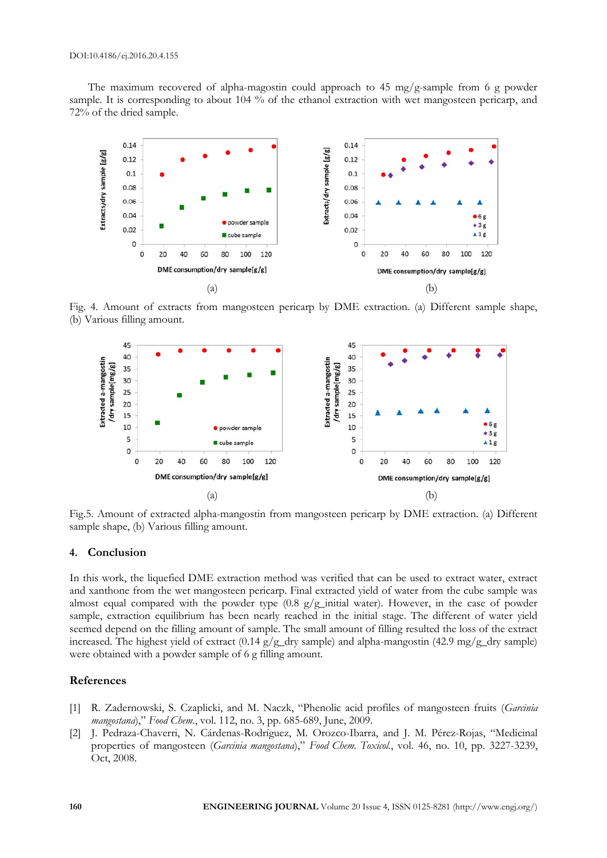The maximum recovered of alpha-magostin could approach to 45 mg/g-sample from 6 g powder sample. It is corresponding to about 104 % of the ethanol extraction with wet mangosteen pericarp, and 72% of the dried sample.



Fig. 4. Amount of extracts from mangosteen pericarp by DME extraction. (a) Different sample shape, (b) Various filling amount.



Fig.5. Amount of extracted alpha-mangostin from mangosteen pericarp by DME extraction. (a) Different sample shape, (b) Various filling amount.

## **4. Conclusion**

In this work, the liquefied DME extraction method was verified that can be used to extract water, extract and xanthone from the wet mangosteen pericarp. Final extracted yield of water from the cube sample was almost equal compared with the powder type (0.8 g/g\_initial water). However, in the case of powder sample, extraction equilibrium has been nearly reached in the initial stage. The different of water yield seemed depend on the filling amount of sample. The small amount of filling resulted the loss of the extract increased. The highest yield of extract (0.14 g/g\_dry sample) and alpha-mangostin (42.9 mg/g\_dry sample) were obtained with a powder sample of 6 g filling amount.

# **References**

- [1] R. Zadernowski, S. Czaplicki, and M. Naczk, "Phenolic acid profiles of mangosteen fruits (*Garcinia mangostana*)," *Food Chem.*, vol. 112, no. 3, pp. 685-689, June, 2009.
- [2] J. Pedraza-Chaverri, N. Cárdenas-Rodríguez, M. Orozco-Ibarra, and J. M. Pérez-Rojas, "Medicinal properties of mangosteen (*Garcinia mangostana*)," *Food Chem. Toxicol.*, vol. 46, no. 10, pp. 3227-3239, Oct, 2008.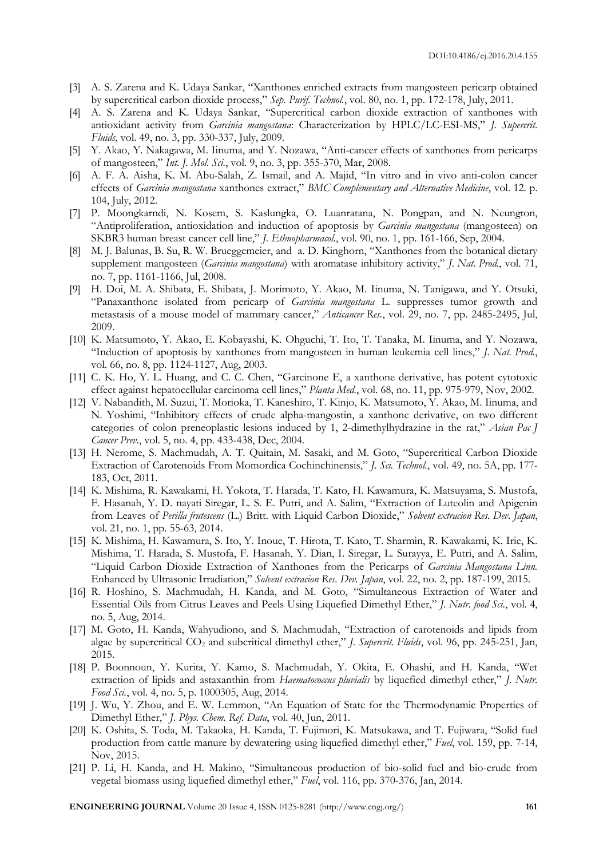- [3] A. S. Zarena and K. Udaya Sankar, "Xanthones enriched extracts from mangosteen pericarp obtained by supercritical carbon dioxide process," *Sep. Purif. Technol.*, vol. 80, no. 1, pp. 172-178, July, 2011.
- [4] A. S. Zarena and K. Udaya Sankar, "Supercritical carbon dioxide extraction of xanthones with antioxidant activity from *Garcinia mangostana*: Characterization by HPLC/LC-ESI-MS," *J. Supercrit. Fluids*, vol. 49, no. 3, pp. 330-337, July, 2009.
- [5] Y. Akao, Y. Nakagawa, M. Iinuma, and Y. Nozawa, "Anti-cancer effects of xanthones from pericarps of mangosteen," *Int. J. Mol. Sci.*, vol. 9, no. 3, pp. 355-370, Mar, 2008.
- [6] A. F. A. Aisha, K. M. Abu-Salah, Z. Ismail, and A. Majid, "In vitro and in vivo anti-colon cancer effects of *Garcinia mangostana* xanthones extract," *BMC Complementary and Alternative Medicine*, vol. 12. p. 104, July, 2012.
- [7] P. Moongkarndi, N. Kosem, S. Kaslungka, O. Luanratana, N. Pongpan, and N. Neungton, "Antiproliferation, antioxidation and induction of apoptosis by *Garcinia mangostana* (mangosteen) on SKBR3 human breast cancer cell line," *J. Ethnopharmacol.*, vol. 90, no. 1, pp. 161-166, Sep, 2004.
- [8] M. J. Balunas, B. Su, R. W. Brueggemeier, and a. D. Kinghorn, "Xanthones from the botanical dietary supplement mangosteen (*Garcinia mangostana*) with aromatase inhibitory activity," *J. Nat. Prod.*, vol. 71, no. 7, pp. 1161-1166, Jul, 2008.
- [9] H. Doi, M. A. Shibata, E. Shibata, J. Morimoto, Y. Akao, M. Iinuma, N. Tanigawa, and Y. Otsuki, "Panaxanthone isolated from pericarp of *Garcinia mangostana* L. suppresses tumor growth and metastasis of a mouse model of mammary cancer," *Anticancer Res.*, vol. 29, no. 7, pp. 2485-2495, Jul, 2009.
- [10] K. Matsumoto, Y. Akao, E. Kobayashi, K. Ohguchi, T. Ito, T. Tanaka, M. Iinuma, and Y. Nozawa, "Induction of apoptosis by xanthones from mangosteen in human leukemia cell lines," *J. Nat. Prod.*, vol. 66, no. 8, pp. 1124-1127, Aug, 2003.
- [11] C. K. Ho, Y. L. Huang, and C. C. Chen, "Garcinone E, a xanthone derivative, has potent cytotoxic effect against hepatocellular carcinoma cell lines," *Planta Med.*, vol. 68, no. 11, pp. 975-979, Nov, 2002.
- [12] V. Nabandith, M. Suzui, T. Morioka, T. Kaneshiro, T. Kinjo, K. Matsumoto, Y. Akao, M. Iinuma, and N. Yoshimi, "Inhibitory effects of crude alpha-mangostin, a xanthone derivative, on two different categories of colon preneoplastic lesions induced by 1, 2-dimethylhydrazine in the rat," *Asian Pac J Cancer Prev.*, vol. 5, no. 4, pp. 433-438, Dec, 2004.
- [13] H. Nerome, S. Machmudah, A. T. Quitain, M. Sasaki, and M. Goto, "Supercritical Carbon Dioxide Extraction of Carotenoids From Momordica Cochinchinensis," *J. Sci. Technol.*, vol. 49, no. 5A, pp. 177- 183, Oct, 2011.
- [14] K. Mishima, R. Kawakami, H. Yokota, T. Harada, T. Kato, H. Kawamura, K. Matsuyama, S. Mustofa, F. Hasanah, Y. D. nayati Siregar, L. S. E. Putri, and A. Salim, "Extraction of Luteolin and Apigenin from Leaves of *Perilla frutescens* (L.) Britt. with Liquid Carbon Dioxide," *Solvent extracion Res. Dev. Japan*, vol. 21, no. 1, pp. 55-63, 2014.
- [15] K. Mishima, H. Kawamura, S. Ito, Y. Inoue, T. Hirota, T. Kato, T. Sharmin, R. Kawakami, K. Irie, K. Mishima, T. Harada, S. Mustofa, F. Hasanah, Y. Dian, I. Siregar, L. Surayya, E. Putri, and A. Salim, "Liquid Carbon Dioxide Extraction of Xanthones from the Pericarps of *Garcinia Mangostana Linn.* Enhanced by Ultrasonic Irradiation," *Solvent extracion Res. Dev. Japan*, vol. 22, no. 2, pp. 187-199, 2015.
- [16] R. Hoshino, S. Machmudah, H. Kanda, and M. Goto, "Simultaneous Extraction of Water and Essential Oils from Citrus Leaves and Peels Using Liquefied Dimethyl Ether," *J. Nutr. food Sci.*, vol. 4, no. 5, Aug, 2014.
- [17] M. Goto, H. Kanda, Wahyudiono, and S. Machmudah, "Extraction of carotenoids and lipids from algae by supercritical CO2 and subcritical dimethyl ether," *J. Supercrit. Fluids*, vol. 96, pp. 245-251, Jan, 2015.
- [18] P. Boonnoun, Y. Kurita, Y. Kamo, S. Machmudah, Y. Okita, E. Ohashi, and H. Kanda, "Wet extraction of lipids and astaxanthin from *Haematococcus pluvialis* by liquefied dimethyl ether," *J. Nutr. Food Sci.*, vol. 4, no. 5, p. 1000305, Aug, 2014.
- [19] J. Wu, Y. Zhou, and E. W. Lemmon, "An Equation of State for the Thermodynamic Properties of Dimethyl Ether," *J. Phys. Chem. Ref. Data*, vol. 40, Jun, 2011.
- [20] K. Oshita, S. Toda, M. Takaoka, H. Kanda, T. Fujimori, K. Matsukawa, and T. Fujiwara, "Solid fuel production from cattle manure by dewatering using liquefied dimethyl ether," *Fuel*, vol. 159, pp. 7-14, Nov, 2015.
- [21] P. Li, H. Kanda, and H. Makino, "Simultaneous production of bio-solid fuel and bio-crude from vegetal biomass using liquefied dimethyl ether," *Fuel*, vol. 116, pp. 370-376, Jan, 2014.

**ENGINEERING JOURNAL** Volume 20 Issue 4, ISSN 0125-8281 (http://www.engj.org/) **161**